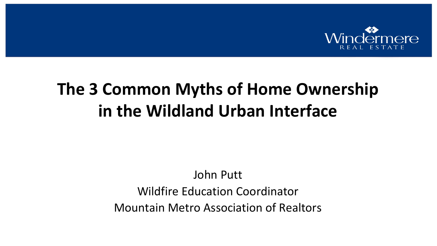

# **The 3 Common Myths of Home Ownership in the Wildland Urban Interface**

#### John Putt Wildfire Education Coordinator Mountain Metro Association of Realtors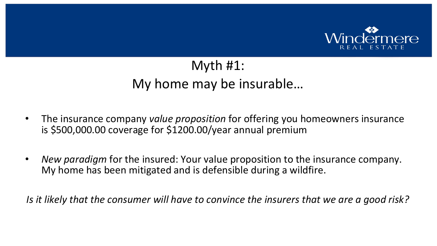

#### Myth #1: My home may be insurable…

- The insurance company *value proposition* for offering you homeowners insurance is \$500,000.00 coverage for \$1200.00/year annual premium
- *New paradigm* for the insured: Your value proposition to the insurance company. My home has been mitigated and is defensible during a wildfire.

*Is it likely that the consumer will have to convince the insurers that we are a good risk?*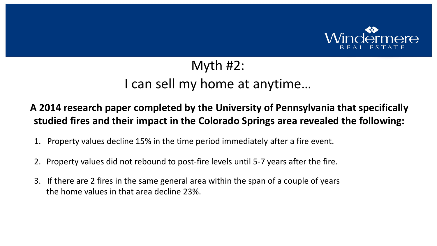

## Myth #2: I can sell my home at anytime…

#### **A 2014 research paper completed by the University of Pennsylvania that specifically studied fires and their impact in the Colorado Springs area revealed the following:**

- 1. Property values decline 15% in the time period immediately after a fire event.
- 2. Property values did not rebound to post-fire levels until 5-7 years after the fire.
- 3. If there are 2 fires in the same general area within the span of a couple of years the home values in that area decline 23%.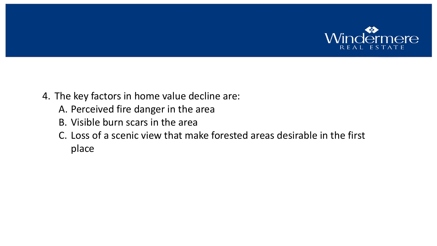

- 4. The key factors in home value decline are:
	- A. Perceived fire danger in the area
	- B. Visible burn scars in the area
	- C. Loss of a scenic view that make forested areas desirable in the first place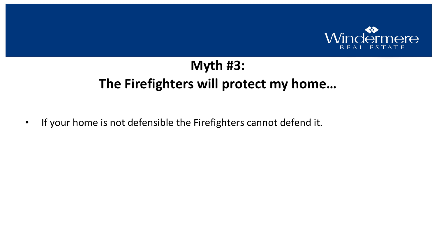

## **Myth #3: The Firefighters will protect my home…**

• If your home is not defensible the Firefighters cannot defend it.